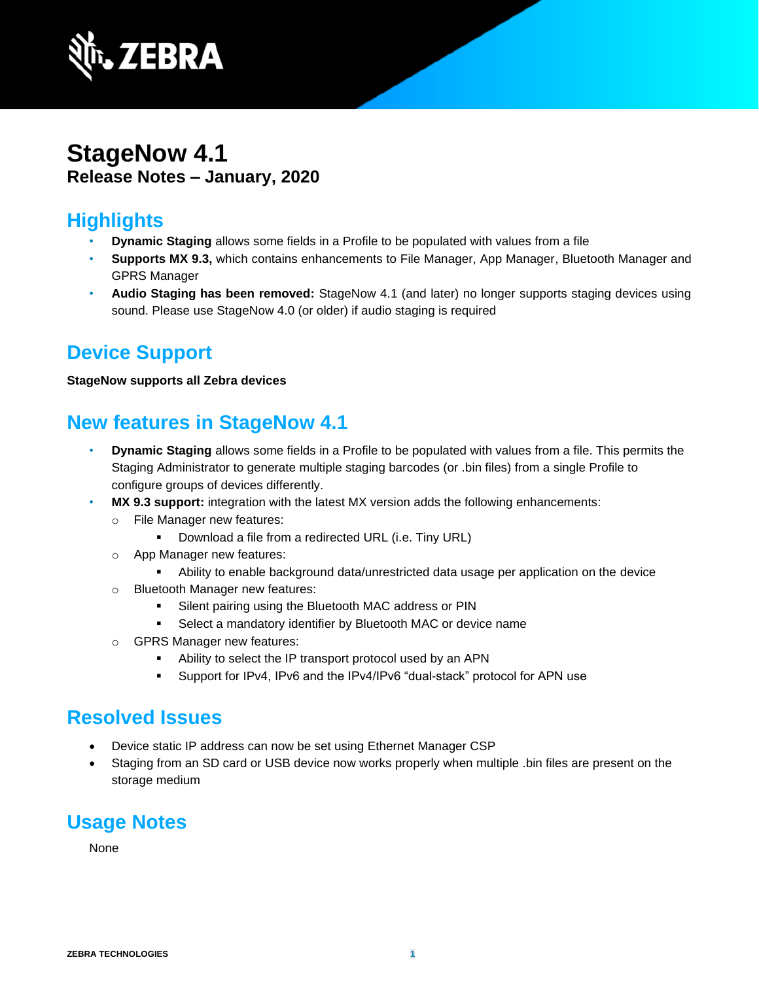

## **StageNow 4.1 Release Notes – January, 2020**

## **Highlights**

- **Dynamic Staging** allows some fields in a Profile to be populated with values from a file
- **Supports MX 9.3,** which contains enhancements to File Manager, App Manager, Bluetooth Manager and GPRS Manager
- **Audio Staging has been removed:** StageNow 4.1 (and later) no longer supports staging devices using sound. Please use StageNow 4.0 (or older) if audio staging is required

## **Device Support**

#### **StageNow supports all Zebra devices**

## **New features in StageNow 4.1**

- **Dynamic Staging** allows some fields in a Profile to be populated with values from a file. This permits the Staging Administrator to generate multiple staging barcodes (or .bin files) from a single Profile to configure groups of devices differently.
- **MX 9.3 support:** integration with the latest MX version adds the following enhancements:
	- o File Manager new features:
		- Download a file from a redirected URL (i.e. Tiny URL)
	- o App Manager new features:
		- **EXECT** Ability to enable background data/unrestricted data usage per application on the device
	- o Bluetooth Manager new features:
		- Silent pairing using the Bluetooth MAC address or PIN
		- Select a mandatory identifier by Bluetooth MAC or device name
	- o GPRS Manager new features:
		- Ability to select the IP transport protocol used by an APN
		- Support for IPv4, IPv6 and the IPv4/IPv6 "dual-stack" protocol for APN use

## **Resolved Issues**

- Device static IP address can now be set using Ethernet Manager CSP
- Staging from an SD card or USB device now works properly when multiple .bin files are present on the storage medium

# **Usage Notes**

None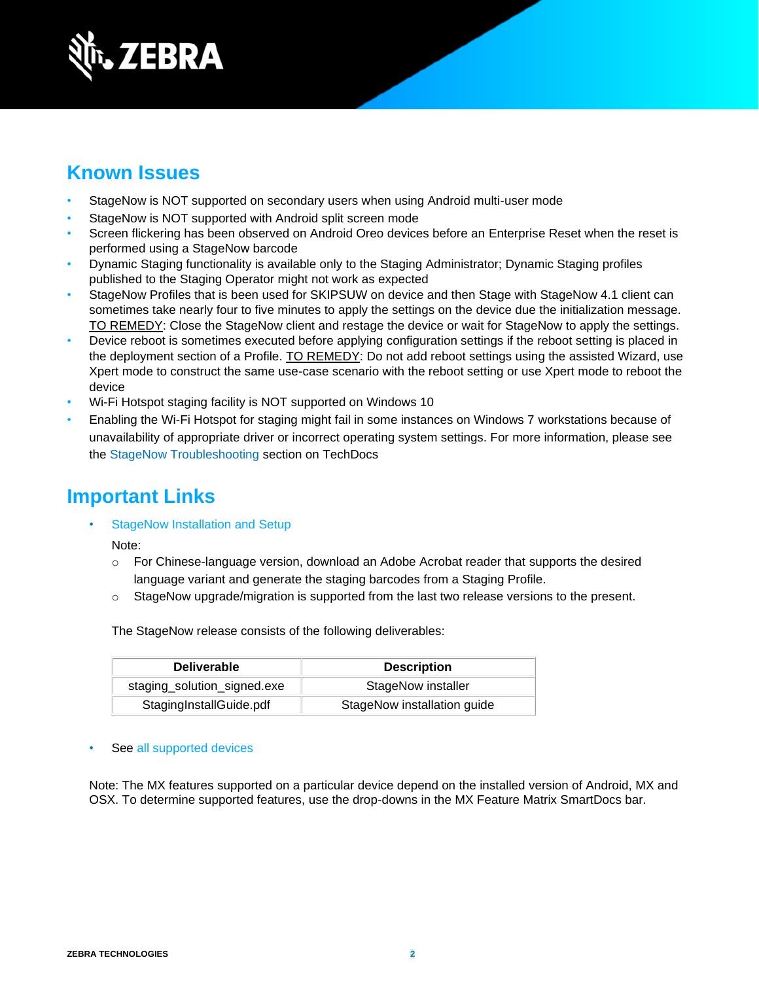

### **Known Issues**

- StageNow is NOT supported on secondary users when using Android multi-user mode
- StageNow is NOT supported with Android split screen mode
- Screen flickering has been observed on Android Oreo devices before an Enterprise Reset when the reset is performed using a StageNow barcode
- Dynamic Staging functionality is available only to the Staging Administrator; Dynamic Staging profiles published to the Staging Operator might not work as expected
- StageNow Profiles that is been used for SKIPSUW on device and then Stage with StageNow 4.1 client can sometimes take nearly four to five minutes to apply the settings on the device due the initialization message. TO REMEDY: Close the StageNow client and restage the device or wait for StageNow to apply the settings.
- Device reboot is sometimes executed before applying configuration settings if the reboot setting is placed in the deployment section of a Profile. TO REMEDY: Do not add reboot settings using the assisted Wizard, use Xpert mode to construct the same use-case scenario with the reboot setting or use Xpert mode to reboot the device
- Wi-Fi Hotspot staging facility is NOT supported on Windows 10
- Enabling the Wi-Fi Hotspot for staging might fail in some instances on Windows 7 workstations because of unavailability of appropriate driver or incorrect operating system settings. For more information, please see the [StageNow Troubleshooting](http://techdocs.zebra.com/stagenow/latest/troubleshooting/) section on TechDocs

#### **Important Link[s](http://techdocs.zebra.com/stagenow/)**

[StageNow Installation and Setup](http://techdocs.zebra.com/stagenow/latest/installing/)

Note:

- o For Chinese-language version, download an Adobe Acrobat reader that supports the desired language variant and generate the staging barcodes from a Staging Profile.
- o StageNow upgrade/migration is supported from the last two release versions to the present.

The StageNow release consists of the following deliverables:

| <b>Deliverable</b>          | <b>Description</b>          |
|-----------------------------|-----------------------------|
| staging_solution_signed.exe | StageNow installer          |
| StagingInstallGuide.pdf     | StageNow installation guide |

#### See [all supported devices](http://techdocs.zebra.com/stagenow/)

Note: The MX features supported on a particular device depend on the installed version of Android, MX and OSX. To determine supported features, use the drop-downs in the [MX Feature Matrix](http://techdocs.zebra.com/mx/compatibility/) SmartDocs bar.